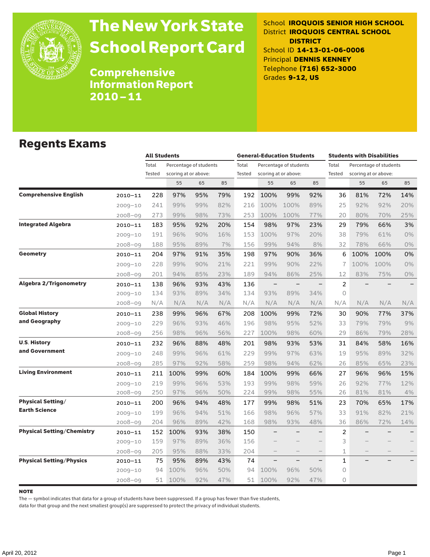

# The New York State School Report Card

School **IROQUOIS SENIOR HIGH SCHOOL** District **IROQUOIS CENTRAL SCHOOL DISTRICT** School ID **14-13-01-06-0006** Principal **DENNIS KENNEY** Telephone **(716) 652-3000** Grades **9-12, US**

Comprehensive Information Report 2010–11

#### Regents Exams

|                                   |             |                 | <b>All Students</b>  |                        |     |                 | <b>General-Education Students</b> |                                                |     | <b>Students with Disabilities</b> |                                                |      |                          |  |
|-----------------------------------|-------------|-----------------|----------------------|------------------------|-----|-----------------|-----------------------------------|------------------------------------------------|-----|-----------------------------------|------------------------------------------------|------|--------------------------|--|
|                                   |             | Total<br>Tested | scoring at or above: | Percentage of students |     | Total<br>Tested |                                   | Percentage of students<br>scoring at or above: |     | Total<br>Tested                   | Percentage of students<br>scoring at or above: |      |                          |  |
|                                   |             |                 | 55                   | 65                     | 85  |                 | 55                                | 65                                             | 85  |                                   | 55                                             | 65   | 85                       |  |
| <b>Comprehensive English</b>      | $2010 - 11$ | 228             | 97%                  | 95%                    | 79% | 192             | 100%                              | 99%                                            | 92% | 36                                | 81%                                            | 72%  | 14%                      |  |
|                                   | $2009 - 10$ | 241             | 99%                  | 99%                    | 82% | 216             | 100%                              | 100%                                           | 89% | 25                                | 92%                                            | 92%  | 20%                      |  |
|                                   | $2008 - 09$ | 273             | 99%                  | 98%                    | 73% | 253             | 100%                              | 100%                                           | 77% | 20                                | 80%                                            | 70%  | 25%                      |  |
| <b>Integrated Algebra</b>         | $2010 - 11$ | 183             | 95%                  | 92%                    | 20% | 154             | 98%                               | 97%                                            | 23% | 29                                | 79%                                            | 66%  | 3%                       |  |
|                                   | $2009 - 10$ | 191             | 96%                  | 90%                    | 16% | 153             | 100%                              | 97%                                            | 20% | 38                                | 79%                                            | 61%  | 0%                       |  |
|                                   | $2008 - 09$ | 188             | 95%                  | 89%                    | 7%  | 156             | 99%                               | 94%                                            | 8%  | 32                                | 78%                                            | 66%  | $0\%$                    |  |
| <b>Geometry</b>                   | $2010 - 11$ | 204             | 97%                  | 91%                    | 35% | 198             | 97%                               | 90%                                            | 36% | 6                                 | 100%                                           | 100% | 0%                       |  |
|                                   | $2009 - 10$ | 228             | 99%                  | 90%                    | 21% | 221             | 99%                               | 90%                                            | 22% | 7                                 | 100%                                           | 100% | 0%                       |  |
|                                   | $2008 - 09$ | 201             | 94%                  | 85%                    | 23% | 189             | 94%                               | 86%                                            | 25% | 12                                | 83%                                            | 75%  | $0\%$                    |  |
| <b>Algebra 2/Trigonometry</b>     | $2010 - 11$ | 138             | 96%                  | 93%                    | 43% | 136             | $\overline{\phantom{0}}$          | $\qquad \qquad -$                              |     | $\overline{c}$                    |                                                |      | $\overline{\phantom{0}}$ |  |
|                                   | $2009 - 10$ | 134             | 93%                  | 89%                    | 34% | 134             | 93%                               | 89%                                            | 34% | $\circ$                           |                                                |      |                          |  |
|                                   | $2008 - 09$ | N/A             | N/A                  | N/A                    | N/A | N/A             | N/A                               | N/A                                            | N/A | N/A                               | N/A                                            | N/A  | N/A                      |  |
| <b>Global History</b>             | $2010 - 11$ | 238             | 99%                  | 96%                    | 67% | 208             | 100%                              | 99%                                            | 72% | 30                                | 90%                                            | 77%  | 37%                      |  |
| and Geography                     | $2009 - 10$ | 229             | 96%                  | 93%                    | 46% | 196             | 98%                               | 95%                                            | 52% | 33                                | 79%                                            | 79%  | 9%                       |  |
|                                   | $2008 - 09$ | 256             | 98%                  | 96%                    | 56% | 227             | 100%                              | 98%                                            | 60% | 29                                | 86%                                            | 79%  | 28%                      |  |
| <b>U.S. History</b>               | $2010 - 11$ | 232             | 96%                  | 88%                    | 48% | 201             | 98%                               | 93%                                            | 53% | 31                                | 84%                                            | 58%  | 16%                      |  |
| and Government                    | $2009 - 10$ | 248             | 99%                  | 96%                    | 61% | 229             | 99%                               | 97%                                            | 63% | 19                                | 95%                                            | 89%  | 32%                      |  |
|                                   | $2008 - 09$ | 285             | 97%                  | 92%                    | 58% | 259             | 98%                               | 94%                                            | 62% | 26                                | 85%                                            | 65%  | 23%                      |  |
| <b>Living Environment</b>         | $2010 - 11$ | 211             | 100%                 | 99%                    | 60% | 184             | 100%                              | 99%                                            | 66% | 27                                | 96%                                            | 96%  | 15%                      |  |
|                                   | $2009 - 10$ | 219             | 99%                  | 96%                    | 53% | 193             | 99%                               | 98%                                            | 59% | 26                                | 92%                                            | 77%  | 12%                      |  |
|                                   | $2008 - 09$ | 250             | 97%                  | 96%                    | 50% | 224             | 99%                               | 98%                                            | 55% | 26                                | 81%                                            | 81%  | 4%                       |  |
| <b>Physical Setting/</b>          | $2010 - 11$ | 200             | 96%                  | 94%                    | 48% | 177             | 99%                               | 98%                                            | 51% | 23                                | 70%                                            | 65%  | 17%                      |  |
| <b>Earth Science</b>              | $2009 - 10$ | 199             | 96%                  | 94%                    | 51% | 166             | 98%                               | 96%                                            | 57% | 33                                | 91%                                            | 82%  | 21%                      |  |
|                                   | $2008 - 09$ | 204             | 96%                  | 89%                    | 42% | 168             | 98%                               | 93%                                            | 48% | 36                                | 86%                                            | 72%  | 14%                      |  |
| <b>Physical Setting/Chemistry</b> | $2010 - 11$ | 152             | 100%                 | 93%                    | 38% | 150             |                                   |                                                |     | 2                                 |                                                |      |                          |  |
|                                   | $2009 - 10$ | 159             | 97%                  | 89%                    | 36% | 156             |                                   |                                                |     | 3                                 |                                                |      |                          |  |
|                                   | $2008 - 09$ | 205             | 95%                  | 88%                    | 33% | 204             |                                   |                                                |     | 1                                 |                                                |      |                          |  |
| <b>Physical Setting/Physics</b>   | 2010-11     | 75              | 95%                  | 89%                    | 43% | 74              |                                   | $\overline{\phantom{0}}$                       |     | $\mathbf{1}$                      |                                                |      |                          |  |
|                                   | $2009 - 10$ | 94              | 100%                 | 96%                    | 50% | 94              | 100%                              | 96%                                            | 50% | 0                                 |                                                |      |                          |  |
|                                   | $2008 - 09$ | 51              | 100%                 | 92%                    | 47% | 51              | 100%                              | 92%                                            | 47% | $\circ$                           |                                                |      |                          |  |

#### note

The — symbol indicates that data for a group of students have been suppressed. If a group has fewer than five students,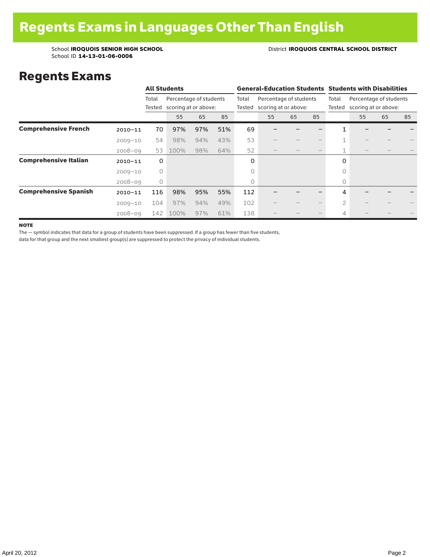#### School **IROQUOIS SENIOR HIGH SCHOOL** District **IROQUOIS CENTRAL SCHOOL DISTRICT**

### Regents Exams

|                              |             |         | <b>All Students</b> |                                                       |     |                 | <b>General-Education Students Students with Disabilities</b> |          |  |                 |                                                |    |    |  |  |
|------------------------------|-------------|---------|---------------------|-------------------------------------------------------|-----|-----------------|--------------------------------------------------------------|----------|--|-----------------|------------------------------------------------|----|----|--|--|
|                              |             | Total   |                     | Percentage of students<br>Tested scoring at or above: |     | Total<br>Tested | Percentage of students<br>scoring at or above:               |          |  | Total<br>Tested | Percentage of students<br>scoring at or above: |    |    |  |  |
|                              |             |         | 55                  | 65                                                    | 85  |                 | 55                                                           | 85<br>65 |  |                 | 55                                             | 65 | 85 |  |  |
| <b>Comprehensive French</b>  | $2010 - 11$ | 70      | 97%                 | 97%                                                   | 51% | 69              |                                                              |          |  |                 |                                                |    |    |  |  |
|                              | $2009 - 10$ | 54      | 98%                 | 94%                                                   | 43% | 53              |                                                              |          |  | 1               |                                                |    |    |  |  |
|                              | $2008 - 09$ | 53      | 100%                | 98%                                                   | 64% | 52              |                                                              |          |  | 1               |                                                |    |    |  |  |
| <b>Comprehensive Italian</b> | $2010 - 11$ | 0       |                     |                                                       |     | 0               |                                                              |          |  | 0               |                                                |    |    |  |  |
|                              | $2009 - 10$ | $\circ$ |                     |                                                       |     | 0               |                                                              |          |  | $\bigcap$       |                                                |    |    |  |  |
|                              | $2008 - 09$ | $\circ$ |                     |                                                       |     | 0               |                                                              |          |  | 0               |                                                |    |    |  |  |
| <b>Comprehensive Spanish</b> | $2010 - 11$ | 116     | 98%                 | 95%                                                   | 55% | 112             |                                                              |          |  | 4               |                                                |    |    |  |  |
|                              | $2009 - 10$ | 104     | 97%                 | 94%                                                   | 49% | 102             |                                                              |          |  | $\overline{2}$  |                                                |    |    |  |  |
|                              | $2008 - 09$ | 142     | 100%                | 97%                                                   | 61% | 138             |                                                              |          |  | 4               |                                                |    |    |  |  |

**NOTE** 

The — symbol indicates that data for a group of students have been suppressed. If a group has fewer than five students,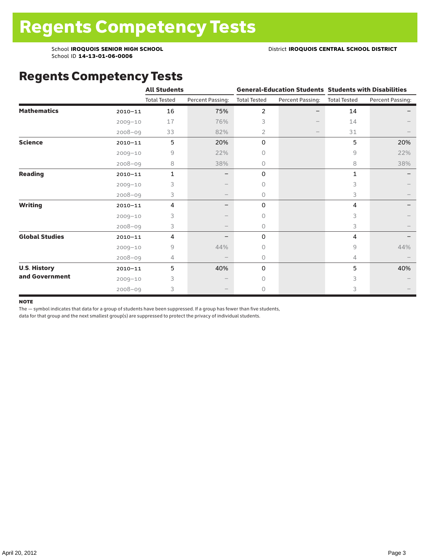### Regents Competency Tests

|                       |             | <b>All Students</b> |                  |                     |                  | <b>General-Education Students Students with Disabilities</b> |                  |  |
|-----------------------|-------------|---------------------|------------------|---------------------|------------------|--------------------------------------------------------------|------------------|--|
|                       |             | <b>Total Tested</b> | Percent Passing: | <b>Total Tested</b> | Percent Passing: | <b>Total Tested</b>                                          | Percent Passing: |  |
| <b>Mathematics</b>    | $2010 - 11$ | 16                  | 75%              | 2                   |                  | 14                                                           |                  |  |
|                       | $2009 - 10$ | 17                  | 76%              | 3                   |                  | 14                                                           |                  |  |
|                       | $2008 - 09$ | 33                  | 82%              | 2                   |                  | 31                                                           |                  |  |
| <b>Science</b>        | $2010 - 11$ | 5                   | 20%              | 0                   |                  | 5                                                            | 20%              |  |
|                       | $2009 - 10$ | 9                   | 22%              | 0                   |                  | 9                                                            | 22%              |  |
|                       | $2008 - 09$ | 8                   | 38%              | 0                   |                  | 8                                                            | 38%              |  |
| <b>Reading</b>        | $2010 - 11$ | 1                   |                  | 0                   |                  | 1                                                            |                  |  |
|                       | $2009 - 10$ | 3                   |                  | $\circ$             |                  | 3                                                            |                  |  |
|                       | $2008 - 09$ | 3                   |                  | $\circ$             |                  | 3                                                            |                  |  |
| <b>Writing</b>        | $2010 - 11$ | 4                   | -                | 0                   |                  | 4                                                            |                  |  |
|                       | $2009 - 10$ | 3                   |                  | $\Omega$            |                  | 3                                                            |                  |  |
|                       | $2008 - 09$ | 3                   |                  | $\circ$             |                  | 3                                                            |                  |  |
| <b>Global Studies</b> | $2010 - 11$ | 4                   |                  | 0                   |                  | 4                                                            |                  |  |
|                       | $2009 - 10$ | 9                   | 44%              | $\Omega$            |                  | 9                                                            | 44%              |  |
|                       | 2008-09     | 4                   |                  | $\circ$             |                  | 4                                                            |                  |  |
| <b>U.S. History</b>   | $2010 - 11$ | 5                   | 40%              | 0                   |                  | 5                                                            | 40%              |  |
| and Government        | $2009 - 10$ | 3                   |                  | $\circ$             |                  | 3                                                            |                  |  |
|                       | $2008 - 09$ | 3                   |                  | 0                   |                  | 3                                                            |                  |  |

#### **NOTE**

The — symbol indicates that data for a group of students have been suppressed. If a group has fewer than five students,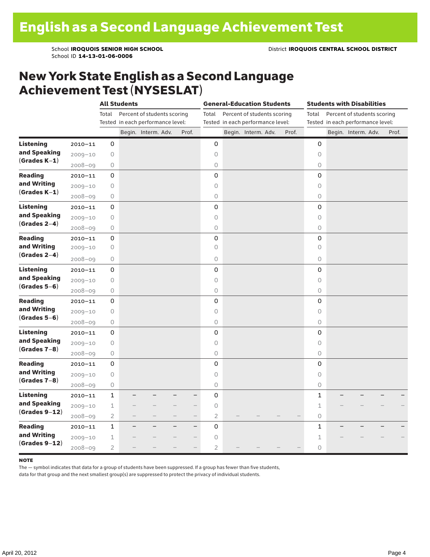#### New York State English as a Second Language Achievement Test (NYSESLAT)

|                  |             |                | <b>All Students</b> |                                   |                          |                | <b>General-Education Students</b> |                                   |  |       |             | <b>Students with Disabilities</b> |                     |  |  |       |
|------------------|-------------|----------------|---------------------|-----------------------------------|--------------------------|----------------|-----------------------------------|-----------------------------------|--|-------|-------------|-----------------------------------|---------------------|--|--|-------|
|                  |             | Total          |                     | Percent of students scoring       |                          | Total          |                                   | Percent of students scoring       |  |       | Total       | Percent of students scoring       |                     |  |  |       |
|                  |             |                |                     | Tested in each performance level: |                          |                |                                   | Tested in each performance level: |  |       |             | Tested in each performance level: |                     |  |  |       |
|                  |             |                |                     | Begin. Interm. Adv.               | Prof.                    |                |                                   | Begin. Interm. Adv.               |  | Prof. |             |                                   | Begin. Interm. Adv. |  |  | Prof. |
| <b>Listening</b> | $2010 - 11$ | 0              |                     |                                   |                          | 0              |                                   |                                   |  |       | $\mathbf 0$ |                                   |                     |  |  |       |
| and Speaking     | $2009 - 10$ | 0              |                     |                                   |                          | $\circ$        |                                   |                                   |  |       | $\Omega$    |                                   |                     |  |  |       |
| $(Grades K-1)$   | $2008 - 09$ | 0              |                     |                                   |                          | $\bigcirc$     |                                   |                                   |  |       | 0           |                                   |                     |  |  |       |
| <b>Reading</b>   | $2010 - 11$ | 0              |                     |                                   |                          | 0              |                                   |                                   |  |       | 0           |                                   |                     |  |  |       |
| and Writing      | $2009 - 10$ | $\bigcirc$     |                     |                                   |                          | $\circ$        |                                   |                                   |  |       | 0           |                                   |                     |  |  |       |
| $(Grades K-1)$   | $2008 - 09$ | $\bigcirc$     |                     |                                   |                          | 0              |                                   |                                   |  |       | 0           |                                   |                     |  |  |       |
| <b>Listening</b> | $2010 - 11$ | 0              |                     |                                   |                          | 0              |                                   |                                   |  |       | $\mathbf 0$ |                                   |                     |  |  |       |
| and Speaking     | $2009 - 10$ | 0              |                     |                                   |                          | $\circ$        |                                   |                                   |  |       | $\circ$     |                                   |                     |  |  |       |
| $(Grades 2-4)$   | $2008 - 09$ | 0              |                     |                                   |                          | $\circ$        |                                   |                                   |  |       | 0           |                                   |                     |  |  |       |
| <b>Reading</b>   | $2010 - 11$ | 0              |                     |                                   |                          | $\mathbf 0$    |                                   |                                   |  |       | $\mathbf 0$ |                                   |                     |  |  |       |
| and Writing      | $2009 - 10$ | 0              |                     |                                   |                          | $\circ$        |                                   |                                   |  |       | $\circ$     |                                   |                     |  |  |       |
| $(Grades 2-4)$   | 2008-09     | 0              |                     |                                   |                          | $\circ$        |                                   |                                   |  |       | 0           |                                   |                     |  |  |       |
| <b>Listening</b> | $2010 - 11$ | 0              |                     |                                   |                          | 0              |                                   |                                   |  |       | 0           |                                   |                     |  |  |       |
| and Speaking     | $2009 - 10$ | 0              |                     |                                   |                          | $\circ$        |                                   |                                   |  |       | $\circ$     |                                   |                     |  |  |       |
| $(Grades 5-6)$   | $2008 - 09$ | $\bigcirc$     |                     |                                   |                          | 0              |                                   |                                   |  |       | 0           |                                   |                     |  |  |       |
| <b>Reading</b>   | $2010 - 11$ | 0              |                     |                                   |                          | 0              |                                   |                                   |  |       | 0           |                                   |                     |  |  |       |
| and Writing      | $2009 - 10$ | $\bigcirc$     |                     |                                   |                          | $\circ$        |                                   |                                   |  |       | $\circ$     |                                   |                     |  |  |       |
| $(Grades 5-6)$   | $2008 - 09$ | $\bigcirc$     |                     |                                   |                          | $\bigcirc$     |                                   |                                   |  |       | 0           |                                   |                     |  |  |       |
| <b>Listening</b> | $2010 - 11$ | 0              |                     |                                   |                          | 0              |                                   |                                   |  |       | $\mathbf 0$ |                                   |                     |  |  |       |
| and Speaking     | $2009 - 10$ | $\bigcirc$     |                     |                                   |                          | $\circ$        |                                   |                                   |  |       | $\Omega$    |                                   |                     |  |  |       |
| $(Grades 7-8)$   | $2008 - 09$ | $\bigcirc$     |                     |                                   |                          | $\circ$        |                                   |                                   |  |       | 0           |                                   |                     |  |  |       |
| <b>Reading</b>   | $2010 - 11$ | 0              |                     |                                   |                          | $\mathbf 0$    |                                   |                                   |  |       | $\mathbf 0$ |                                   |                     |  |  |       |
| and Writing      | $2009 - 10$ | 0              |                     |                                   |                          | $\circ$        |                                   |                                   |  |       | $\Omega$    |                                   |                     |  |  |       |
| $(Grades 7-8)$   | $2008 - 09$ | $\bigcirc$     |                     |                                   |                          | 0              |                                   |                                   |  |       | 0           |                                   |                     |  |  |       |
| <b>Listening</b> | $2010 - 11$ | $\mathbf{1}$   |                     |                                   | —                        | 0              |                                   |                                   |  |       | 1           |                                   |                     |  |  |       |
| and Speaking     | $2009 - 10$ | $\mathbf 1$    |                     |                                   | $\overline{\phantom{0}}$ | $\circ$        |                                   |                                   |  |       | 1           |                                   |                     |  |  |       |
| $(Grades 9-12)$  | $2008 - 09$ | $\overline{2}$ |                     |                                   | $\overline{\phantom{0}}$ | $\overline{2}$ |                                   |                                   |  |       | 0           |                                   |                     |  |  |       |
| <b>Reading</b>   | $2010 - 11$ | $\mathbf 1$    |                     |                                   | $\overline{\phantom{0}}$ | $\mathsf 0$    |                                   |                                   |  |       | 1           |                                   |                     |  |  |       |
| and Writing      | $2009 - 10$ | $\perp$        |                     |                                   |                          | $\circ$        |                                   |                                   |  |       | 1           |                                   |                     |  |  |       |
| $(Grades 9-12)$  | $2008 - 09$ | $\overline{2}$ |                     |                                   |                          | $\overline{2}$ |                                   |                                   |  |       | 0           |                                   |                     |  |  |       |

#### note

The — symbol indicates that data for a group of students have been suppressed. If a group has fewer than five students,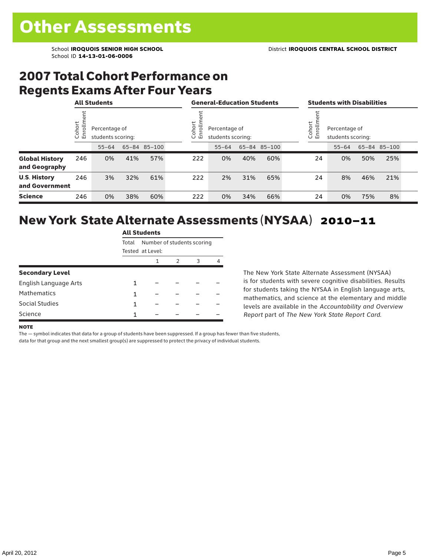### 2007 Total Cohort Performance on Regents Exams After Four Years

|                                        | <b>All Students</b> |                                    |     |              |  | <b>General-Education Students</b>                               |           |     |              |  |                                                         | <b>Students with Disabilities</b> |     |              |  |  |
|----------------------------------------|---------------------|------------------------------------|-----|--------------|--|-----------------------------------------------------------------|-----------|-----|--------------|--|---------------------------------------------------------|-----------------------------------|-----|--------------|--|--|
|                                        | ohort<br>ō<br>ごこ    | Percentage of<br>students scoring: |     |              |  | ohort<br>힝<br>Percentage of<br>모<br>students scoring:<br>$\cup$ |           |     |              |  | Cohort<br>Enrolln<br>Percentage of<br>students scoring: |                                   |     |              |  |  |
|                                        |                     | $55 - 64$                          |     | 65-84 85-100 |  |                                                                 | $55 - 64$ |     | 65-84 85-100 |  |                                                         | $55 - 64$                         |     | 65-84 85-100 |  |  |
| <b>Global History</b><br>and Geography | 246                 | 0%                                 | 41% | 57%          |  | 222                                                             | 0%        | 40% | 60%          |  | 24                                                      | 0%                                | 50% | 25%          |  |  |
| <b>U.S. History</b><br>and Government  | 246                 | 3%                                 | 32% | 61%          |  | 222                                                             | 2%        | 31% | 65%          |  | 24                                                      | 8%                                | 46% | 21%          |  |  |
| <b>Science</b>                         | 246                 | 0%                                 | 38% | 60%          |  | 222                                                             | 0%        | 34% | 66%          |  | 24                                                      | 0%                                | 75% | 8%           |  |  |

### New York State Alternate Assessments (NYSAA) 2010–11

|                        | <b>All Students</b> |                            |   |   |   |  |  |  |  |
|------------------------|---------------------|----------------------------|---|---|---|--|--|--|--|
|                        | Total               | Number of students scoring |   |   |   |  |  |  |  |
|                        |                     | Tested at Level:           |   |   |   |  |  |  |  |
|                        |                     | 1                          | 2 | 3 | 4 |  |  |  |  |
| <b>Secondary Level</b> |                     |                            |   |   |   |  |  |  |  |
| English Language Arts  | 1                   |                            |   |   |   |  |  |  |  |
| <b>Mathematics</b>     | 1                   |                            |   |   |   |  |  |  |  |
| Social Studies         | 1                   |                            |   |   |   |  |  |  |  |
| Science                | 1                   |                            |   |   |   |  |  |  |  |

The New York State Alternate Assessment (NYSAA) is for students with severe cognitive disabilities. Results for students taking the NYSAA in English language arts, mathematics, and science at the elementary and middle levels are available in the *Accountability and Overview Report* part of *The New York State Report Card*.

#### **NOTE**

The — symbol indicates that data for a group of students have been suppressed. If a group has fewer than five students,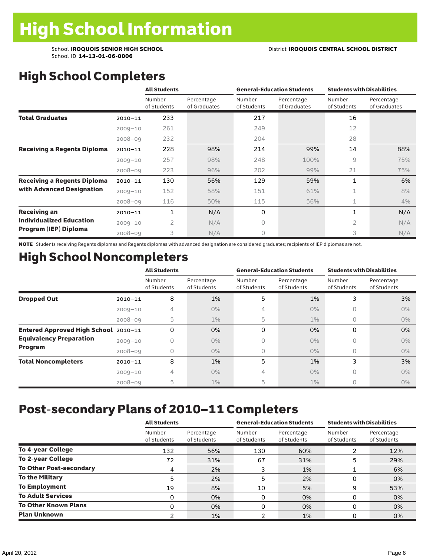## High School Completers

|                                    |             | <b>All Students</b>   |                            | <b>General-Education Students</b> |                            | <b>Students with Disabilities</b> |                            |  |
|------------------------------------|-------------|-----------------------|----------------------------|-----------------------------------|----------------------------|-----------------------------------|----------------------------|--|
|                                    |             | Number<br>of Students | Percentage<br>of Graduates | Number<br>of Students             | Percentage<br>of Graduates | <b>Number</b><br>of Students      | Percentage<br>of Graduates |  |
| <b>Total Graduates</b>             | $2010 - 11$ | 233                   |                            | 217                               |                            | 16                                |                            |  |
|                                    | $2009 - 10$ | 261                   |                            | 249                               |                            | 12                                |                            |  |
|                                    | $2008 - 09$ | 232                   |                            | 204                               |                            | 28                                |                            |  |
| <b>Receiving a Regents Diploma</b> | $2010 - 11$ | 228                   | 98%                        | 214                               | 99%                        | 14                                | 88%                        |  |
|                                    | $2009 - 10$ | 257                   | 98%                        | 248                               | 100%                       | 9                                 | 75%                        |  |
|                                    | $2008 - 09$ | 223                   | 96%                        | 202                               | 99%                        | 21                                | 75%                        |  |
| <b>Receiving a Regents Diploma</b> | $2010 - 11$ | 130                   | 56%                        | 129                               | 59%                        | 1                                 | 6%                         |  |
| with Advanced Designation          | $2009 - 10$ | 152                   | 58%                        | 151                               | 61%                        | 1                                 | 8%                         |  |
|                                    | $2008 - 09$ | 116                   | 50%                        | 115                               | 56%                        | 1                                 | 4%                         |  |
| <b>Receiving an</b>                | $2010 - 11$ | 1                     | N/A                        | 0                                 |                            | 1                                 | N/A                        |  |
| <b>Individualized Education</b>    | $2009 - 10$ | $\overline{2}$        | N/A                        | $\Omega$                          |                            | 2                                 | N/A                        |  |
| Program (IEP) Diploma              | $2008 - 09$ | 3                     | N/A                        | $\circ$                           |                            | 3                                 | N/A                        |  |

NOTE Students receiving Regents diplomas and Regents diplomas with advanced designation are considered graduates; recipients of IEP diplomas are not.

### High School Noncompleters

|                                      |             | <b>All Students</b>   |                           | <b>General-Education Students</b> |                           | <b>Students with Disabilities</b> |                           |  |
|--------------------------------------|-------------|-----------------------|---------------------------|-----------------------------------|---------------------------|-----------------------------------|---------------------------|--|
|                                      |             | Number<br>of Students | Percentage<br>of Students | Number<br>of Students             | Percentage<br>of Students | Number<br>of Students             | Percentage<br>of Students |  |
| <b>Dropped Out</b>                   | $2010 - 11$ | 8                     | 1%                        | 5                                 | 1%                        | 3                                 | 3%                        |  |
|                                      | $2009 - 10$ | 4                     | $0\%$                     | 4                                 | $0\%$                     | Ω                                 | $0\%$                     |  |
|                                      | $2008 - 09$ | 5                     | $1\%$                     | 5                                 | $1\%$                     | 0                                 | $0\%$                     |  |
| Entered Approved High School 2010-11 |             | 0                     | 0%                        | 0                                 | 0%                        | 0                                 | 0%                        |  |
| <b>Equivalency Preparation</b>       | $2009 - 10$ | 0                     | $0\%$                     | 0                                 | 0%                        | 0                                 | $0\%$                     |  |
| Program                              | $2008 - 09$ | 0                     | $0\%$                     | 0                                 | $0\%$                     | 0                                 | $0\%$                     |  |
| <b>Total Noncompleters</b>           | $2010 - 11$ | 8                     | 1%                        | 5                                 | 1%                        | 3                                 | 3%                        |  |
|                                      | $2009 - 10$ | 4                     | $0\%$                     | 4                                 | $0\%$                     | Ω                                 | $0\%$                     |  |
|                                      | $2008 - 09$ | 5                     | $1\%$                     | 5                                 | $1\%$                     |                                   | $0\%$                     |  |

## Post-secondary Plans of 2010–11 Completers

|                                | <b>All Students</b>   |                           |                       | <b>General-Education Students</b> | <b>Students with Disabilities</b> |                           |  |  |
|--------------------------------|-----------------------|---------------------------|-----------------------|-----------------------------------|-----------------------------------|---------------------------|--|--|
|                                | Number<br>of Students | Percentage<br>of Students | Number<br>of Students | Percentage<br>of Students         | Number<br>of Students             | Percentage<br>of Students |  |  |
| <b>To 4-year College</b>       | 132                   | 56%                       | 130                   | 60%                               | ຳ                                 | 12%                       |  |  |
| <b>To 2-year College</b>       | 72                    | 31%                       | 67                    | 31%                               | 5                                 | 29%                       |  |  |
| <b>To Other Post-secondary</b> | 4                     | 2%                        |                       | 1%                                |                                   | 6%                        |  |  |
| <b>To the Military</b>         | 5                     | 2%                        | 5                     | 2%                                | O                                 | 0%                        |  |  |
| <b>To Employment</b>           | 19                    | 8%                        | 10                    | 5%                                | 9                                 | 53%                       |  |  |
| <b>To Adult Services</b>       | 0                     | 0%                        | 0                     | 0%                                | 0                                 | 0%                        |  |  |
| <b>To Other Known Plans</b>    | 0                     | 0%                        | 0                     | 0%                                | 0                                 | 0%                        |  |  |
| <b>Plan Unknown</b>            |                       | 1%                        |                       | 1%                                | n                                 | 0%                        |  |  |